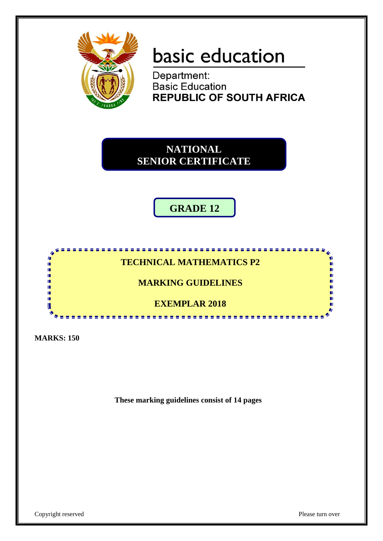

# basic education

Department:<br>Basic Education **REPUBLIC OF SOUTH AFRICA** 

**NATIONAL SENIOR CERTIFICATE**

**GRADE 12**

## **TECHNICAL MATHEMATICS P2**

------------

**MARKING GUIDELINES**

**EXEMPLAR 2018**  ------

**MARKS: 150**

ıŕ II. IÙ, ΙÚ, ú. ú. ń H

**These marking guidelines consist of 14 pages**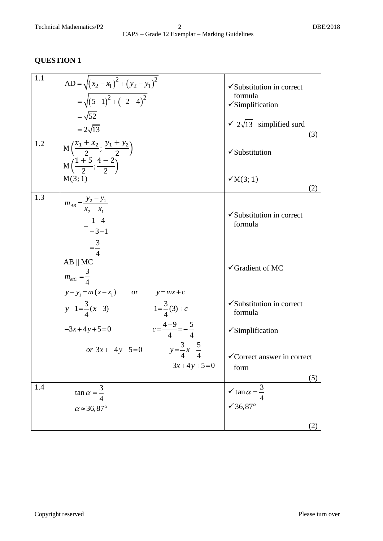| 1.1<br>1.2 | AD = $\sqrt{(x_2 - x_1)^2 + (y_2 - y_1)^2}$<br>$=\sqrt{(5-1)^2+(-2-4)^2}$<br>$=\sqrt{52}$<br>$= 2\sqrt{13}$         | $\checkmark$ Substitution in correct<br>formula<br>$\checkmark$ Simplification<br>$\sqrt{2\sqrt{13}}$ simplified surd<br>(3) |
|------------|---------------------------------------------------------------------------------------------------------------------|------------------------------------------------------------------------------------------------------------------------------|
|            | M $\left(\frac{x_1 + x_2}{2}; \frac{y_1 + y_2}{2}\right)$<br>$M\left(\frac{1+5}{2};\frac{4-2}{2}\right)$<br>M(3; 1) | $\checkmark$ Substitution<br>$\checkmark$ M(3; 1)<br>(2)                                                                     |
| 1.3        | $m_{AB} = \frac{y_2 - y_1}{x_2 - x_1}$<br>$=\frac{1-4}{-3-1}$<br>$=\frac{3}{4}$                                     | $\checkmark$ Substitution in correct<br>formula                                                                              |
|            | $AB \parallel MC$<br>$m_{MC} = \frac{3}{4}$<br>$y - y_1 = m(x - x_1)$ or $y = mx + c$                               | $\checkmark$ Gradient of MC                                                                                                  |
|            | $y-1=\frac{3}{4}(x-3)$<br>$1=\frac{3}{4}(3)+c$                                                                      | $\checkmark$ Substitution in correct<br>formula                                                                              |
|            | $c=\frac{4-9}{4}=-\frac{5}{4}$<br>$-3x+4y+5=0$                                                                      | $\checkmark$ Simplification                                                                                                  |
|            | or $3x + -4y - 5 = 0$ $y = \frac{3}{4}x - \frac{5}{4}$<br>$-3x+4y+5=0$                                              | √Correct answer in correct<br>form<br>(5)                                                                                    |
| 1.4        | $\tan \alpha = \frac{3}{4}$                                                                                         | $\sqrt{\tan \alpha} = \frac{3}{4}$                                                                                           |
|            | $\alpha \approx 36,87^\circ$                                                                                        | √ 36,87 $^{\circ}$<br>(2)                                                                                                    |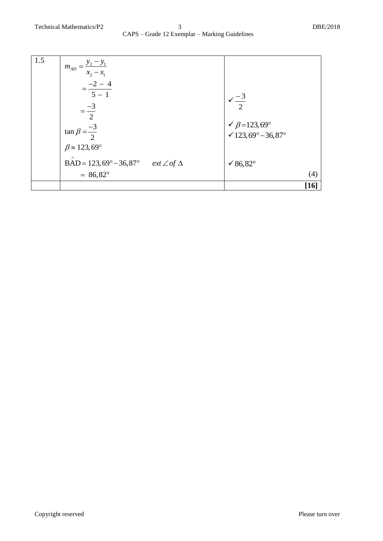| 1.5 | $m_{AD} = \frac{y_2 - y_1}{x_2 - x_1}$                                                         |                                     |
|-----|------------------------------------------------------------------------------------------------|-------------------------------------|
|     | $=\frac{-2-4}{5-1}$                                                                            |                                     |
|     |                                                                                                | $\frac{-3}{2}$                      |
|     | $=\frac{-3}{2}$                                                                                | $\sqrt{\beta} = 123,69^{\circ}$     |
|     | $\tan \beta = \frac{-3}{2}$                                                                    | $\sqrt{123,69^\circ} - 36,87^\circ$ |
|     | $\beta \approx 123,69^\circ$<br>Λ<br>BAD = 123,69° – 36,87° <i>ext</i> $\angle$ of $\triangle$ | √ 86,82°                            |
|     | $= 86,82^{\circ}$                                                                              | (4)                                 |
|     |                                                                                                | $[16]$                              |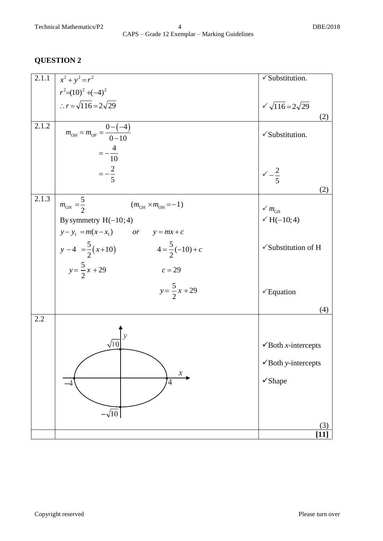#### Technical Mathematics/P2 4 DBE/2018 CAPS – Grade 12 Exemplar – Marking Guidelines

| 2.1.1 | $x^2 + y^2 = r^2$                                       | √Substitution.                         |
|-------|---------------------------------------------------------|----------------------------------------|
|       | $r^2=(10)^2+(-4)^2$                                     |                                        |
|       | $\therefore r = \sqrt{116} = 2\sqrt{29}$                | $\sqrt{116} = 2\sqrt{29}$              |
|       |                                                         | (2)                                    |
| 2.1.2 | $m_{OH} = m_{OF} = \frac{0 - (-4)}{0 - 10}$             | $\checkmark$ Substitution.             |
|       |                                                         |                                        |
|       | $=-\frac{4}{10}$                                        |                                        |
|       | $=-\frac{2}{5}$                                         |                                        |
|       |                                                         | $\sqrt{-\frac{2}{5}}$                  |
| 2.1.3 |                                                         | (2)                                    |
|       | $m_{GH} = \frac{5}{2}$<br>$(m_{GH} \times m_{OH} = -1)$ | $\checkmark$ $m_{\text{GH}}$           |
|       | By symmetry $H(-10; 4)$                                 | $\sqrt{H(-10, 4)}$                     |
|       | $y - y_1 = m(x - x_1)$ or $y = mx + c$                  |                                        |
|       | $y-4 = \frac{5}{2}(x+10)$<br>$4=\frac{5}{2}(-10)+c$     | $\checkmark$ Substitution of H         |
|       |                                                         |                                        |
|       | $y = \frac{5}{2}x + 29$<br>$c = 29$                     |                                        |
|       | $y = \frac{5}{2}x + 29$                                 |                                        |
|       |                                                         | $\checkmark$ Equation                  |
|       |                                                         | (4)                                    |
| 2.2   |                                                         |                                        |
|       |                                                         |                                        |
|       | $\sqrt{10}$                                             | $\checkmark$ Both <i>x</i> -intercepts |
|       |                                                         | $\checkmark$ Both y-intercepts         |
|       | $\boldsymbol{\mathcal{X}}$                              |                                        |
|       | $\overline{4}$<br>-4                                    | √Shape                                 |
|       |                                                         |                                        |
|       | $-\sqrt{10}$                                            |                                        |
|       |                                                         | (3)                                    |
|       |                                                         | $[11]$                                 |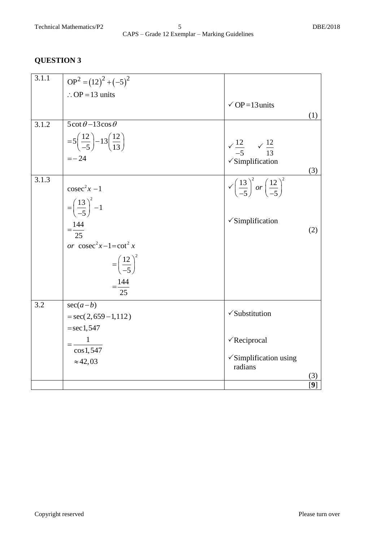#### Technical Mathematics/P2 5 DBE/2018 CAPS – Grade 12 Exemplar – Marking Guidelines

| 3.1.1 | $OP2 = (12)2 + (-5)2$                                       |                                                                         |                   |
|-------|-------------------------------------------------------------|-------------------------------------------------------------------------|-------------------|
|       | $\therefore$ OP = 13 units                                  |                                                                         |                   |
|       |                                                             | $\check{ }$ OP=13 units                                                 |                   |
|       |                                                             |                                                                         | (1)               |
| 3.1.2 | $\overline{5 \cot \theta - 13 \cos \theta}$                 |                                                                         |                   |
|       | $=5\left(\frac{12}{-5}\right)-13\left(\frac{12}{13}\right)$ |                                                                         |                   |
|       | $=-24$                                                      | $\sqrt{\frac{12}{-5}}$ $\sqrt{\frac{12}{13}}$                           |                   |
|       |                                                             | $\checkmark$ Simplification                                             | (3)               |
| 3.1.3 |                                                             |                                                                         |                   |
|       | $\csc^2 x - 1$                                              | $\sqrt{\left(\frac{13}{-5}\right)^2}$ or $\left(\frac{12}{-5}\right)^2$ |                   |
|       | $=\left(\frac{13}{-5}\right)^2 - 1$                         |                                                                         |                   |
|       |                                                             |                                                                         |                   |
|       | $=\frac{144}{25}$                                           | $\checkmark$ Simplification                                             | (2)               |
|       |                                                             |                                                                         |                   |
|       | or $\csc^2 x - 1 = \cot^2 x$                                |                                                                         |                   |
|       | $=\left(\frac{12}{-5}\right)^2$                             |                                                                         |                   |
|       | $=\frac{144}{25}$                                           |                                                                         |                   |
| 3.2   | $sec(a-b)$                                                  |                                                                         |                   |
|       | $=$ sec(2,659-1,112)                                        | √Substitution                                                           |                   |
|       | $=$ sec 1,547                                               |                                                                         |                   |
|       | $=\frac{1}{\cos 1, 547}$                                    | $\sqrt{\text{Reciprocal}}$                                              |                   |
|       |                                                             |                                                                         |                   |
|       | $\approx$ 42,03                                             | $\checkmark$ Simplification using<br>radians                            |                   |
|       |                                                             |                                                                         | (3)               |
|       |                                                             |                                                                         | $\lceil 9 \rceil$ |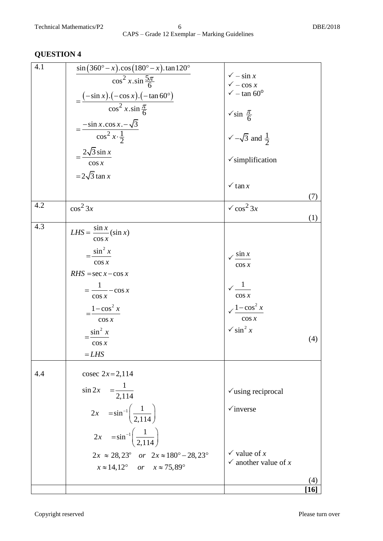| <b>AND LIGHT</b> |                                                                                                                                                                                                                                                                                                                                |                                                                                                                                                                                                                                                                                                                                                                                                                                                                                                                                               |
|------------------|--------------------------------------------------------------------------------------------------------------------------------------------------------------------------------------------------------------------------------------------------------------------------------------------------------------------------------|-----------------------------------------------------------------------------------------------------------------------------------------------------------------------------------------------------------------------------------------------------------------------------------------------------------------------------------------------------------------------------------------------------------------------------------------------------------------------------------------------------------------------------------------------|
| 4.1              | $\sin(360^\circ - x) \cdot \cos(180^\circ - x) \cdot \tan 120^\circ$<br>$\cos^2 x . \sin \frac{5\pi}{6}$<br>$=\frac{(-\sin x).(-\cos x).(-\tan 60^\circ)}{\cos^2 x.\sin\frac{\pi}{6}}$<br>$=\frac{-\sin x.\cos x. -\sqrt{3}}{\cos^2 x.\frac{1}{2}}$<br>$=\frac{2\sqrt{3}\sin x}{2\sqrt{3}}$<br>$\cos x$<br>$=2\sqrt{3} \tan x$ | $\sqrt{-\sin x}$<br>$\sqrt{-\cos x}$<br>$\sqrt{-\tan 60^\circ}$<br>$\sqrt{\sin \frac{\pi}{6}}$<br>$\sqrt{-\sqrt{3}}$ and $\frac{1}{2}$<br>$\checkmark$ simplification<br>$\checkmark$ tan x<br>(7)                                                                                                                                                                                                                                                                                                                                            |
| 4.2              | $\cos^2 3x$                                                                                                                                                                                                                                                                                                                    | $\sqrt{\cos^2 3x}$<br>(1)                                                                                                                                                                                                                                                                                                                                                                                                                                                                                                                     |
| 4.3              | $LHS = \frac{\sin x}{x} (\sin x)$<br>$\cos x$<br>$\frac{\sin^2 x}{\sin^2 x}$<br>$\cos x$<br>$RHS = \sec x - \cos x$<br>$=\frac{1}{\cos x}$<br>$\cos x$<br>$=\frac{1-\cos^2 x}{1-\cos^2 x}$<br>$\cos x$<br>$=\frac{\sin^2 x}{2}$<br>$\cos x$<br>$= LHS$                                                                         | $\sqrt{\sin x}$<br>$\cos x$<br>$\sqrt{\frac{1}{1-\frac{1}{1-\frac{1}{1-\frac{1}{1-\frac{1}{1-\frac{1}{1-\frac{1}{1-\frac{1}{1-\frac{1}{1-\frac{1}{1-\frac{1}{1-\frac{1}{1-\frac{1}{1-\frac{1}{1-\frac{1}{1-\frac{1}{1-\frac{1}{1-\frac{1}{1-\frac{1}{1-\frac{1}{1-\frac{1}{1-\frac{1}{1-\frac{1}{1-\frac{1}{1-\frac{1}{1-\frac{1}{1-\frac{1}{1-\frac{1}{1-\frac{1}{1-\frac{1}{1-\frac{1}{1-\frac{1}{1-\frac{1}{1-\frac{1}{1-\frac{1}{1-\frac{1}{1-\frac$<br>$\cos x$<br>$\sqrt{\frac{1-\cos^2 x}{x}}$<br>$\cos x$<br>$\sqrt{\sin^2 x}$<br>(4) |
| 4.4              | cosec $2x = 2,114$<br>$\sin 2x = \frac{1}{2,114}$<br>$2x = \sin^{-1}\left(\frac{1}{2,114}\right)$<br>$2x = \sin^{-1}\left(\frac{1}{2.114}\right)$<br>$2x \approx 28,23^{\circ}$ or $2x \approx 180^{\circ} - 28,23^{\circ}$<br>$x \approx 14,12^{\circ}$ or $x \approx 75,89^{\circ}$                                          | $\checkmark$ using reciprocal<br>$\checkmark$ inverse<br>$\checkmark$ value of x<br>$\checkmark$ another value of x<br>(4)                                                                                                                                                                                                                                                                                                                                                                                                                    |
|                  |                                                                                                                                                                                                                                                                                                                                |                                                                                                                                                                                                                                                                                                                                                                                                                                                                                                                                               |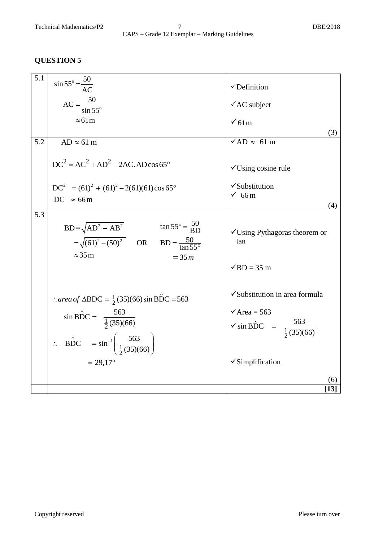| 5.1 | $\sin 55^\circ = \frac{50}{AC}$                                                                                                               | $\checkmark$ Definition                             |
|-----|-----------------------------------------------------------------------------------------------------------------------------------------------|-----------------------------------------------------|
|     |                                                                                                                                               |                                                     |
|     | $AC = \frac{50}{\sin 55^\circ}$                                                                                                               | $\sqrt{\text{AC}}$ subject                          |
|     | $\approx 61 \text{m}$                                                                                                                         | $\sqrt{61m}$                                        |
|     |                                                                                                                                               | (3)                                                 |
| 5.2 | $AD \approx 61$ m                                                                                                                             | $\sqrt{AD} \approx 61 \text{ m}$                    |
|     | $DC2 = AC2 + AD2 - 2AC, AD\cos 65^{\circ}$                                                                                                    | $\checkmark$ Using cosine rule                      |
|     | $DC2 = (61)2 + (61)2 - 2(61)(61)\cos 65^{\circ}$                                                                                              | √Substitution                                       |
|     |                                                                                                                                               | 66m                                                 |
|     | DC $\approx 66 \text{m}$                                                                                                                      | (4)                                                 |
| 5.3 |                                                                                                                                               |                                                     |
|     | BD= $\sqrt{AD^2 - AB^2}$ tan 55° = $\frac{50}{BD}$<br>= $\sqrt{(61)^2 - (50)^2}$ OR BD = $\frac{50}{\tan 55^\circ}$<br>$\approx 35 \text{ m}$ | $\checkmark$ Using Pythagoras theorem or<br>tan     |
|     | $= 35m$                                                                                                                                       | $\sqrt{BD}$ = 35 m                                  |
|     | $\therefore$ area of $\triangle BDC = \frac{1}{2}(35)(66) \sin BDC = 563$                                                                     | √Substitution in area formula                       |
|     |                                                                                                                                               | $\sqrt{\text{Area}} = 563$                          |
|     | $\sin B\hat{D}C = \frac{563}{\frac{1}{2}(35)(66)}$                                                                                            | $\sqrt{\sin BDC} = \frac{563}{\frac{1}{2}(35)(66)}$ |
|     | $\therefore \quad \angle BDC = \sin^{-1} \left( \frac{563}{\frac{1}{2}(35)(66)} \right)$                                                      |                                                     |
|     |                                                                                                                                               |                                                     |
|     | $= 29,17$ °                                                                                                                                   | $\checkmark$ Simplification                         |
|     |                                                                                                                                               | (6)                                                 |
|     |                                                                                                                                               | [13]                                                |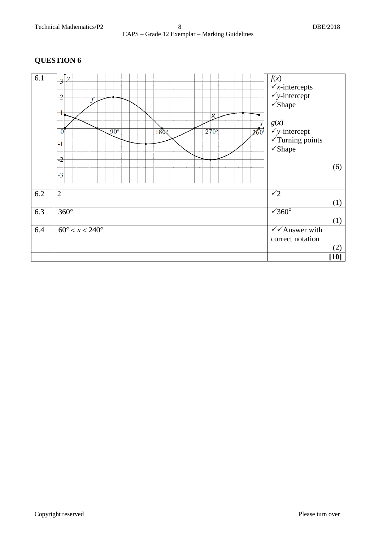#### 6.1  $\int_{-2}^{\infty} y^{x} dx = \int_{0}^{\infty} f(x) dx$  $\sqrt{x}$ -intercepts  $\sqrt{y\text{-intercept}}$  $-2$ Shape  $\overline{\mathcal{A}}$  $\overline{g}$ *g*(*x*)  $\vert x \vert$  $\frac{1800}{1800}$  $270^\circ$  $\overrightarrow{260}$ *y*-intercept  $\overline{0}$  $\overline{90^{\circ}}$  $\overline{\sqrt{T}}$ urning points  $-1$ Shape  $-2$ (6)  $-3$ 6.2 2  $\sqrt{2}$ (1)  $\sqrt{360^\circ}$ 6.3  $360^\circ$ (1) 6.4  $60^{\circ} < x < 240^{\circ}$  $\sqrt{\sqrt{A}}$ nswer with correct notation (2) **[10]**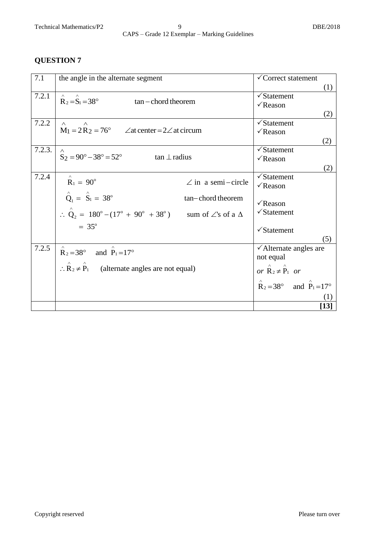| 7.1    | the angle in the alternate segment                                                                       | <del>√</del> Correct statement                     |
|--------|----------------------------------------------------------------------------------------------------------|----------------------------------------------------|
|        |                                                                                                          | (1)                                                |
| 7.2.1  |                                                                                                          | $\sqrt{\text{Statement}}$                          |
|        | $R_2 = S_1 = 38^\circ$<br>$tan$ - chord theorem                                                          | $\sqrt{\text{Reason}}$                             |
|        |                                                                                                          | (2)                                                |
| 7.2.2  | $\wedge$<br>$\wedge$                                                                                     | $\sqrt{\text{Statement}}$                          |
|        | $M_1 = 2R_2 = 76^\circ$ $\angle$ at center = 2 $\angle$ at circum                                        | $\sqrt{\text{Reason}}$                             |
|        |                                                                                                          | (2)                                                |
| 7.2.3. | $\wedge$                                                                                                 | $\sqrt{\text{Statement}}$                          |
|        | $S_2 = 90^\circ - 38^\circ = 52^\circ$<br>$tan \perp radius$                                             | $\sqrt{\text{Reason}}$                             |
|        |                                                                                                          | (2)                                                |
| 7.2.4  |                                                                                                          | $\sqrt{\text{Statement}}$                          |
|        | $R_1 = 90^\circ$<br>$\angle$ in a semi-circle                                                            | $\sqrt{\text{Reason}}$                             |
|        | $\hat{Q}_1 = \hat{S}_1 = 38^\circ$<br>tan-chord theorem                                                  |                                                    |
|        |                                                                                                          | $\sqrt{\text{Reason}}$                             |
|        | $\therefore \ \hat{Q}_2 = 180^\circ - (17^\circ + 90^\circ + 38^\circ)$ sum of $\angle$ 's of a $\Delta$ | $\checkmark$ Statement                             |
|        | $= 35^{\circ}$                                                                                           |                                                    |
|        |                                                                                                          | $\checkmark$ Statement                             |
|        |                                                                                                          | (5)                                                |
| 7.2.5  | $R_2 = 38^\circ$ and $P_1 = 17^\circ$                                                                    | $\checkmark$ Alternate angles are                  |
|        |                                                                                                          | not equal                                          |
|        | $\therefore$ R <sub>2</sub> $\neq$ P <sub>1</sub> (alternate angles are not equal)                       | or $\mathbf{\hat{R}}_2 \neq \mathbf{\hat{P}}_1$ or |
|        |                                                                                                          |                                                    |
|        |                                                                                                          | $R_2 = 38^\circ$ and $P_1 = 17^\circ$              |
|        |                                                                                                          |                                                    |
|        |                                                                                                          | $[13]$                                             |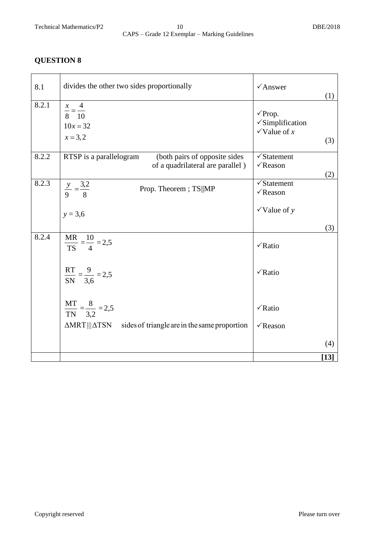| 8.1   | divides the other two sides proportionally                                                   | $\sqrt{\text{Answer}}$                                                    |            |
|-------|----------------------------------------------------------------------------------------------|---------------------------------------------------------------------------|------------|
| 8.2.1 | $\frac{x}{8} = \frac{4}{10}$<br>$10x = 32$<br>$x = 3,2$                                      | $\sqrt{P}$ rop.<br>$\checkmark$ Simplification<br>$\checkmark$ Value of x | (1)<br>(3) |
| 8.2.2 | RTSP is a parallelogram<br>(both pairs of opposite sides<br>of a quadrilateral are parallel) | $\checkmark$ Statement<br>$\sqrt{\text{Reason}}$                          | (2)        |
| 8.2.3 | $rac{y}{9} = \frac{3,2}{8}$<br>Prop. Theorem; TS  MP                                         | $\checkmark$ Statement<br>$\sqrt{\text{Reason}}$                          |            |
|       | $y = 3,6$                                                                                    | $\checkmark$ Value of y                                                   |            |
|       |                                                                                              |                                                                           | (3)        |
| 8.2.4 | $\frac{MR}{TS} = \frac{10}{4} = 2.5$                                                         | √Ratio                                                                    |            |
|       | $\frac{RT}{SN} = \frac{9}{3,6} = 2.5$                                                        | $\sqrt{Ratio}$                                                            |            |
|       | $\frac{MT}{TN} = \frac{8}{3,2} = 2,5$                                                        | $\sqrt{Ratio}$                                                            |            |
|       | $\Delta \text{MRT}$     $\Delta \text{TSN}$<br>sides of triangle are in the same proportion  | $\sqrt{\text{Reason}}$                                                    |            |
|       |                                                                                              |                                                                           | (4)        |
|       |                                                                                              |                                                                           | $[13]$     |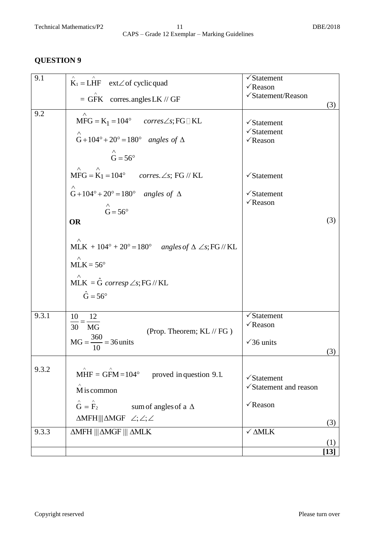| 9.1   | $K_1 = LHF$ ext $\angle$ of cyclic quad                                                                                                    | $\sqrt{\text{Statement}}$<br>$\sqrt{\text{Reason}}$                           |               |
|-------|--------------------------------------------------------------------------------------------------------------------------------------------|-------------------------------------------------------------------------------|---------------|
|       | $=$ GFK corres.angles LK // GF                                                                                                             | √Statement/Reason                                                             | (3)           |
| 9.2   | $MFG = K_1 = 104^\circ$ corres $\angle s$ ; FG $\Box$ KL<br>∧<br>$G+104^\circ+20^\circ=180^\circ$ angles of $\Delta$                       | $\checkmark$ Statement<br>$\sqrt{\text{Statement}}$<br>$\sqrt{\text{Reason}}$ |               |
|       | $\mathring{G} = 56^{\circ}$<br>$\wedge$<br>$MFG = K_1 = 104^\circ$ corres. $\angle s$ ; FG // KL                                           | $\checkmark$ Statement                                                        |               |
|       | $\wedge$<br>G+104°+20° = 180° angles of $\Delta$<br>$\overrightarrow{G}$ = 56°                                                             | $\checkmark$ Statement<br>$\sqrt{\text{Reason}}$                              |               |
|       | <b>OR</b>                                                                                                                                  |                                                                               | (3)           |
|       | MLK + $104^\circ$ + $20^\circ$ = 180° angles of $\Delta \angle$ s; FG // KL                                                                |                                                                               |               |
|       | $MLK = 56^{\circ}$<br>MLK = $\hat{G}$ corresp $\angle s$ ; FG // KL<br>$\hat{G} = 56^{\circ}$                                              |                                                                               |               |
| 9.3.1 | $\frac{10}{10} = -$<br>12<br>30 MG<br>(Prop. Theorem; KL // FG)<br>$MG = \frac{360}{10} = 36 \text{ units}$                                | $\checkmark$ Statement<br>$\sqrt{\text{Reason}}$                              |               |
|       |                                                                                                                                            | $\sqrt{36}$ units                                                             | (3)           |
| 9.3.2 | $\hat{\text{MHF}} = \hat{\text{GFM}} = 104^{\circ}$ proved in question 9.1.<br>M is common                                                 | $\checkmark$ Statement<br>√Statement and reason                               |               |
|       | $\mathbf{\hat{G}} = \mathbf{\hat{F}}_2$<br>sum of angles of a $\Delta$<br>$\triangle MFH \parallel \triangle MGF \angle ; \angle ; \angle$ | $\sqrt{\text{Reason}}$                                                        |               |
| 9.3.3 | $\triangle MFH$    $\triangle MGF$     $\triangle MLK$                                                                                     | $\checkmark$ $\Delta \text{MLK}$                                              | (3)           |
|       |                                                                                                                                            |                                                                               | (1)<br>$[13]$ |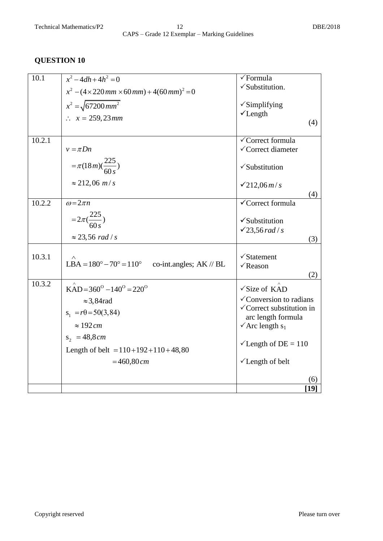| 10.1   | $x^2 - 4dh + 4h^2 = 0$<br>$x^2 - (4 \times 220 \, \text{mm} \times 60 \, \text{mm}) + 4(60 \, \text{mm})^2 = 0$ | √Formula<br>√Substitution.                                                 |
|--------|-----------------------------------------------------------------------------------------------------------------|----------------------------------------------------------------------------|
|        | $x^2 = \sqrt{67200 \, mm^2}$                                                                                    | $\checkmark$ Simplifying<br>$\checkmark$ Length                            |
|        | : $x = 259, 23 \, mm$                                                                                           | (4)                                                                        |
| 10.2.1 | $v = \pi D n$                                                                                                   | √Correct formula<br>√Correct diameter                                      |
|        | $=\pi(18m)(\frac{225}{60 s})$                                                                                   | $\checkmark$ Substitution                                                  |
|        | $\approx$ 212,06 <i>m/s</i>                                                                                     | $\sqrt{212,06m/s}$<br>(4)                                                  |
| 10.2.2 | $\omega = 2\pi n$                                                                                               | √Correct formula                                                           |
|        | $=2\pi(\frac{225}{60s})$                                                                                        | $\checkmark$ Substitution                                                  |
|        | $\approx$ 23,56 rad / s                                                                                         | $\checkmark$ 23,56 rad / s<br>(3)                                          |
| 10.3.1 | LBA = $180^\circ - 70^\circ = 110^\circ$ co-int.angles; AK // BL                                                | $\checkmark$ Statement<br>$\sqrt{\text{Reason}}$<br>(2)                    |
| 10.3.2 | $KAD = 360^{\circ} - 140^{\circ} = 220^{\circ}$                                                                 | $\sqrt{\text{Size of KAD}}$                                                |
|        | $\approx$ 3,84 rad                                                                                              | $\checkmark$ Conversion to radians<br>$\checkmark$ Correct substitution in |
|        | $s_1 = r\theta = 50(3, 84)$                                                                                     | arc length formula                                                         |
|        | $\approx 192 \, \text{cm}$<br>$s_2 = 48,8 \, cm$                                                                | $\sqrt{\text{Arc length } s_1}$                                            |
|        | Length of belt = $110+192+110+48,80$                                                                            | $\checkmark$ Length of DE = 110                                            |
|        | $=460,80 \, cm$                                                                                                 | √Length of belt                                                            |
|        |                                                                                                                 | 6                                                                          |
|        |                                                                                                                 | $\lceil 19 \rceil$                                                         |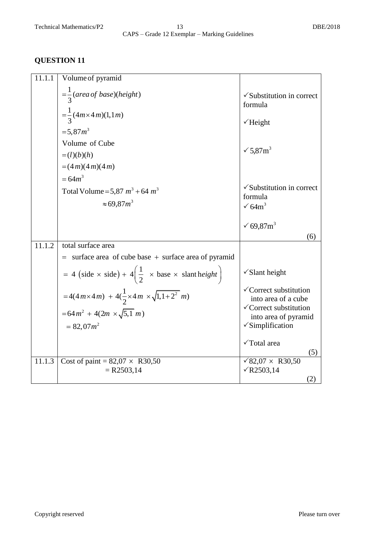| 11.1.1 | Volume of pyramid                                                                                                |                                                                                                                                 |
|--------|------------------------------------------------------------------------------------------------------------------|---------------------------------------------------------------------------------------------------------------------------------|
|        | $=\frac{1}{3}(area of base)(height)$<br>$=\frac{1}{3}(4m \times 4m)(1,1m)$<br>$= 5.87 m^3$                       | $\checkmark$ Substitution in correct<br>formula<br>$\checkmark$ Height                                                          |
|        | Volume of Cube<br>$=(l)(b)(h)$<br>$=(4m)(4m)(4m)$                                                                | $\sqrt{5.87}$ m <sup>3</sup>                                                                                                    |
|        | $= 64 m^3$<br>Total Volume = 5,87 $m^3$ + 64 $m^3$<br>$\approx 69.87m^3$                                         | $\checkmark$ Substitution in correct<br>formula<br>$\sqrt{64m^3}$                                                               |
|        |                                                                                                                  | √ 69,87 $m^3$<br>(6)                                                                                                            |
| 11.1.2 | total surface area                                                                                               |                                                                                                                                 |
|        | $=$ surface area of cube base $+$ surface area of pyramid                                                        |                                                                                                                                 |
|        | = 4 (side $\times$ side) + 4 $\left(\frac{1}{2} \times \text{base} \times \text{slant height}\right)$            | $\checkmark$ Slant height                                                                                                       |
|        | =4(4m×4m) + 4( $\frac{1}{2}$ ×4m × $\sqrt{1,1+2^2}$ m)<br>$= 64 m^2 + 4(2m \times \sqrt{5,1} m)$<br>$= 82,07m^2$ | √Correct substitution<br>into area of a cube<br>√Correct substitution<br>into area of pyramid<br>$\sqrt{\text{Simplification}}$ |
|        |                                                                                                                  | √Total area<br>(5)                                                                                                              |
| 11.1.3 | Cost of paint = $82,07 \times R30,50$<br>$= R2503,14$                                                            | √82,07 $\times$ R30,50<br>$\sqrt{R2503,14}$<br>(2)                                                                              |